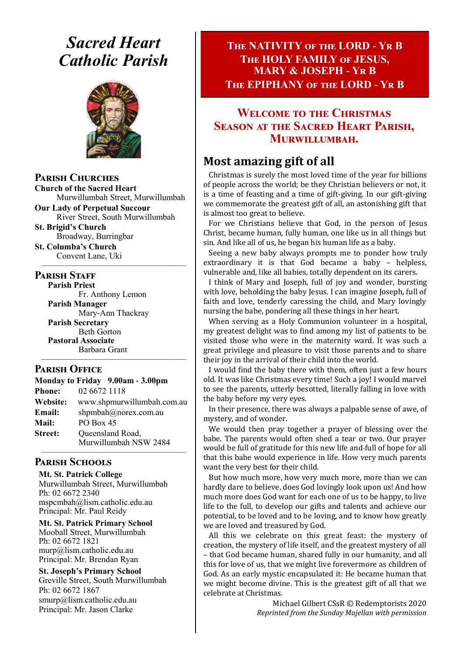# *Sacred Heart Catholic Parish*



**Parish Churches**

**Church of the Sacred Heart** Murwillumbah Street, Murwillumbah

**Our Lady of Perpetual Succour** River Street, South Murwillumbah

**St. Brigid's Church** Broadway, Burringbar

**St. Columba's Church** Convent Lane, Uki —————————————————

#### **PARISH STAFF**

**Parish Priest** Fr. Anthony Lemon

**Parish Manager** Mary-Ann Thackray **Parish Secretary** Beth Gorton **Pastoral Associate** Barbara Grant

### **Parish Office**

**Monday to Friday 9.00am - 3.00pm Phone:** 02 6672 1118 **Website:** www.shpmurwillumbah.com.au **Email:** shpmbah@norex.com.au **Mail:** PO Box 45 **Street:** Oueensland Road, Murwillumbah NSW 2484 —————————————————

—————————————————

# **Parish Schools**

**Mt. St. Patrick College** Murwillumbah Street, Murwillumbah Ph: 02 6672 2340 mspcmbah@lism.catholic.edu.au Principal: Mr. Paul Reidy

**Mt. St. Patrick Primary School** Mooball Street, Murwillumbah Ph: 02 6672 1821 murp@lism.catholic.edu.au Principal: Mr. Brendan Ryan

**St. Joseph's Primary School** Greville Street, South Murwillumbah Ph: 02 6672 1867 smurp@lism.catholic.edu.au Principal: Mr. Jason Clarke

# **The NATIVITY of the LORD - Yr B The HOLY FAMILY of JESUS, MARY & JOSEPH - Yr B The EPIPHANY of the LORD - Yr B**

# **Welcome to the Christmas Season at the Sacred Heart Parish, Murwillumbah.**

# **Most amazing gift of all**

Christmas is surely the most loved time of the year for billions of people across the world; be they Christian believers or not, it is a time of feasting and a time of gift-giving. In our gift-giving we commemorate the greatest gift of all, an astonishing gift that is almost too great to believe.

For we Christians believe that God, in the person of Jesus Christ, became human, fully human, one like us in all things but sin. And like all of us, he began his human life as a baby.

Seeing a new baby always prompts me to ponder how truly extraordinary it is that God became a baby – helpless, vulnerable and, like all babies, totally dependent on its carers.

I think of Mary and Joseph, full of joy and wonder, bursting with love, beholding the baby Jesus. I can imagine Joseph, full of faith and love, tenderly caressing the child, and Mary lovingly nursing the babe, pondering all these things in her heart.

When serving as a Holy Communion volunteer in a hospital, my greatest delight was to find among my list of patients to be visited those who were in the maternity ward. It was such a great privilege and pleasure to visit those parents and to share their joy in the arrival of their child into the world.

I would find the baby there with them, often just a few hours old. It was like Christmas every time! Such a joy! I would marvel to see the parents, utterly besotted, literally falling in love with the baby before my very eyes.

In their presence, there was always a palpable sense of awe, of mystery, and of wonder.

We would then pray together a prayer of blessing over the babe. The parents would often shed a tear or two. Our prayer would be full of gratitude for this new life and full of hope for all that this babe would experience in life. How very much parents want the very best for their child.

But how much more, how very much more, more than we can hardly dare to believe, does God lovingly look upon us! And how much more does God want for each one of us to be happy, to live life to the full, to develop our gifts and talents and achieve our potential, to be loved and to be loving, and to know how greatly we are loved and treasured by God.

All this we celebrate on this great feast: the mystery of creation, the mystery of life itself, and the greatest mystery of all – that God became human, shared fully in our humanity, and all this for love of us, that we might live forevermore as children of God. As an early mystic encapsulated it: He became human that we might become divine. This is the greatest gift of all that we celebrate at Christmas.

> Michael Gilbert CSsR © Redemptorists 2020 *Reprinted from the Sunday Majellan with permission*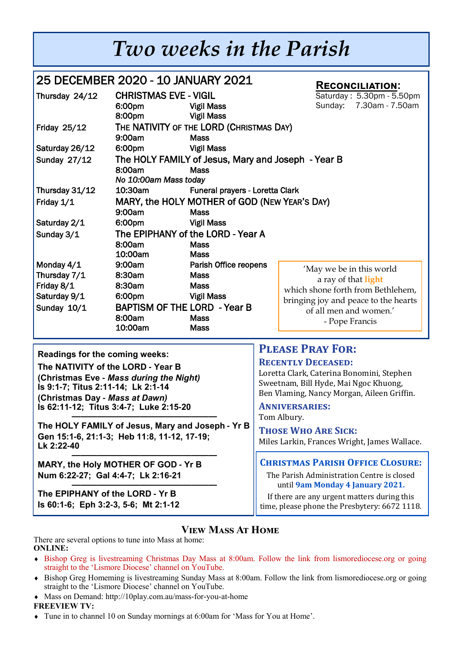# *Two weeks in the Parish*

| 25 DECEMBER 2020 - 10 JANUARY 2021<br><b>RECONCILIATION:</b>            |                                                                                                  |                                                                                                                                                                                  |                                                                                                                                                                          |
|-------------------------------------------------------------------------|--------------------------------------------------------------------------------------------------|----------------------------------------------------------------------------------------------------------------------------------------------------------------------------------|--------------------------------------------------------------------------------------------------------------------------------------------------------------------------|
| Thursday 24/12                                                          | <b>CHRISTMAS EVE - VIGIL</b><br>6:00pm<br>8:00pm                                                 | <b>Vigil Mass</b><br><b>Vigil Mass</b>                                                                                                                                           | Saturday: 5.30pm - 5.50pm<br>7.30am - 7.50am<br>Sunday:                                                                                                                  |
| <b>Friday 25/12</b>                                                     | 9:00am                                                                                           | THE NATIVITY OF THE LORD (CHRISTMAS DAY)<br><b>Mass</b>                                                                                                                          |                                                                                                                                                                          |
| Saturday 26/12<br><b>Sunday 27/12</b>                                   | 6:00pm<br>8:00am<br>No 10:00am Mass today                                                        | <b>Vigil Mass</b><br>The HOLY FAMILY of Jesus, Mary and Joseph - Year B<br><b>Mass</b>                                                                                           |                                                                                                                                                                          |
| Thursday 31/12<br>Friday 1/1<br>Saturday 2/1<br>Sunday 3/1              | 10:30am<br>9:00am<br>6:00pm<br>8:00am<br>10:00am                                                 | Funeral prayers - Loretta Clark<br>MARY, the HOLY MOTHER of GOD (NEW YEAR'S DAY)<br><b>Mass</b><br><b>Vigil Mass</b><br>The EPIPHANY of the LORD - Year A<br><b>Mass</b><br>Mass |                                                                                                                                                                          |
| Monday 4/1<br>Thursday 7/1<br>Friday 8/1<br>Saturday 9/1<br>Sunday 10/1 | 9:00am<br>8:30am<br>8:30am<br>6:00pm<br><b>BAPTISM OF THE LORD - Year B</b><br>8:00am<br>10:00am | Parish Office reopens<br>Mass<br><b>Mass</b><br><b>Vigil Mass</b><br><b>Mass</b><br><b>Mass</b>                                                                                  | 'May we be in this world<br>a ray of that light<br>which shone forth from Bethlehem,<br>bringing joy and peace to the hearts<br>of all men and women.'<br>- Pope Francis |

**Readings for the coming weeks:** 

**The NATIVITY of the LORD - Year B (Christmas Eve -** *Mass during the Night)*  **Is 9:1-7; Titus 2:11-14; Lk 2:1-14 (Christmas Day -** *Mass at Dawn)*  **Is 62:11-12; Titus 3:4-7; Luke 2:15-20**

**————————————————— The HOLY FAMILY of Jesus, Mary and Joseph - Yr B Gen 15:1-6, 21:1-3; Heb 11:8, 11-12, 17-19; Lk 2:22-40**

**————————————————— MARY, the Holy MOTHER OF GOD - Yr B Num 6:22-27; Gal 4:4-7; Lk 2:16-21**

**————————————————— The EPIPHANY of the LORD - Yr B Is 60:1-6; Eph 3:2-3, 5-6; Mt 2:1-12**

# **Please Pray For:**

### **Recently Deceased:**

Loretta Clark, Caterina Bonomini, Stephen Sweetnam, Bill Hyde, Mai Ngoc Khuong, Ben Vlaming, Nancy Morgan, Aileen Griffin.

**Anniversaries:**  Tom Albury.

**Those Who Are Sick:**  Miles Larkin, Frances Wright, James Wallace.

## **Christmas Parish Office Closure:**

The Parish Administration Centre is closed until **9am Monday 4 January 2021.** 

If there are any urgent matters during this time, please phone the Presbytery: 6672 1118.

# **View Mass At Home**

There are several options to tune into Mass at home: **ONLINE:** 

- Bishop Greg is livestreaming Christmas Day Mass at 8:00am. Follow the link from lismorediocese.org or going straight to the 'Lismore Diocese' channel on YouTube.
- Bishop Greg Homeming is livestreaming Sunday Mass at 8:00am. Follow the link from lismorediocese.org or going straight to the 'Lismore Diocese' channel on YouTube.
- Mass on Demand: http://10play.com.au/mass-for-you-at-home

## **FREEVIEW TV:**

Tune in to channel 10 on Sunday mornings at 6:00am for 'Mass for You at Home'.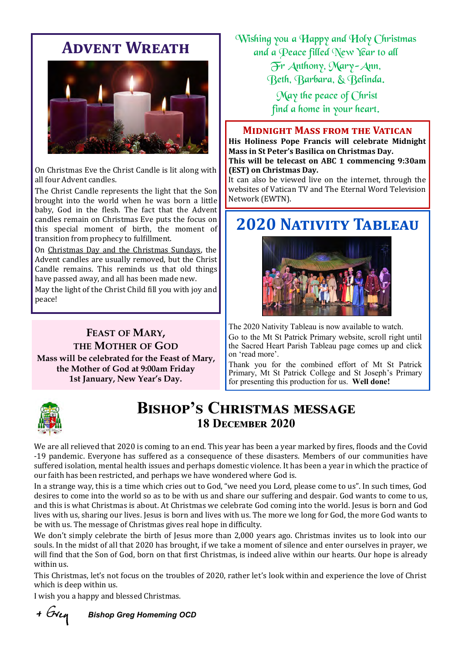# **Advent Wreath**



On Christmas Eve the Christ Candle is lit along with all four Advent candles.

The Christ Candle represents the light that the Son brought into the world when he was born a little baby, God in the flesh. The fact that the Advent candles remain on Christmas Eve puts the focus on this special moment of birth, the moment of transition from prophecy to fulfillment.

On [Christmas Day and the Christmas Sundays,](https://anglicancompass.com/christmastide-a-rookie-anglican-guide-to-the-12-days-of-christmas/) the Advent candles are usually removed, but the Christ Candle remains. This reminds us that old things have passed away, and all has been made new.

May the light of the Christ Child fill you with joy and peace!

**FEAST OF MARY, THE MOTHER OF GOD Mass will be celebrated for the Feast of Mary, the Mother of God at 9:00am Friday 1st January, New Year's Day.**

Wishing you a Happy and Holy Christmas and a Peace filled New Year to all

Fr Anthony, Mary-Ann,

Beth, Barbara, & Belinda.

May the peace of Christ find a home in your heart.

### **Midnight Mass from the Vatican**

**His Holiness Pope Francis will celebrate Midnight Mass in St Peter's Basilica on Christmas Day. This will be telecast on ABC 1 commencing 9:30am (EST) on Christmas Day.**

It can also be viewed live on the internet, through the websites of Vatican TV and The Eternal Word Television Network (EWTN).

# **2020 Nativity Tableau**



The 2020 Nativity Tableau is now available to watch. Go to the Mt St Patrick Primary website, scroll right until the Sacred Heart Parish Tableau page comes up and click on 'read more'.

Thank you for the combined effort of Mt St Patrick Primary, Mt St Patrick College and St Joseph's Primary for presenting this production for us. **Well done!**



# **Bishop's Christmas message 18 December 2020**

We are all relieved that 2020 is coming to an end. This year has been a year marked by fires, floods and the Covid -19 pandemic. Everyone has suffered as a consequence of these disasters. Members of our communities have suffered isolation, mental health issues and perhaps domestic violence. It has been a year in which the practice of our faith has been restricted, and perhaps we have wondered where God is.

In a strange way, this is a time which cries out to God, "we need you Lord, please come to us". In such times, God desires to come into the world so as to be with us and share our suffering and despair. God wants to come to us, and this is what Christmas is about. At Christmas we celebrate God coming into the world. Jesus is born and God lives with us, sharing our lives. Jesus is born and lives with us. The more we long for God, the more God wants to be with us. The message of Christmas gives real hope in difficulty.

We don't simply celebrate the birth of Jesus more than 2,000 years ago. Christmas invites us to look into our souls. In the midst of all that 2020 has brought, if we take a moment of silence and enter ourselves in prayer, we will find that the Son of God, born on that first Christmas, is indeed alive within our hearts. Our hope is already within us.

This Christmas, let's not focus on the troubles of 2020, rather let's look within and experience the love of Christ which is deep within us.

I wish you a happy and blessed Christmas.

+ Grey

 *Bishop Greg Homeming OCD*